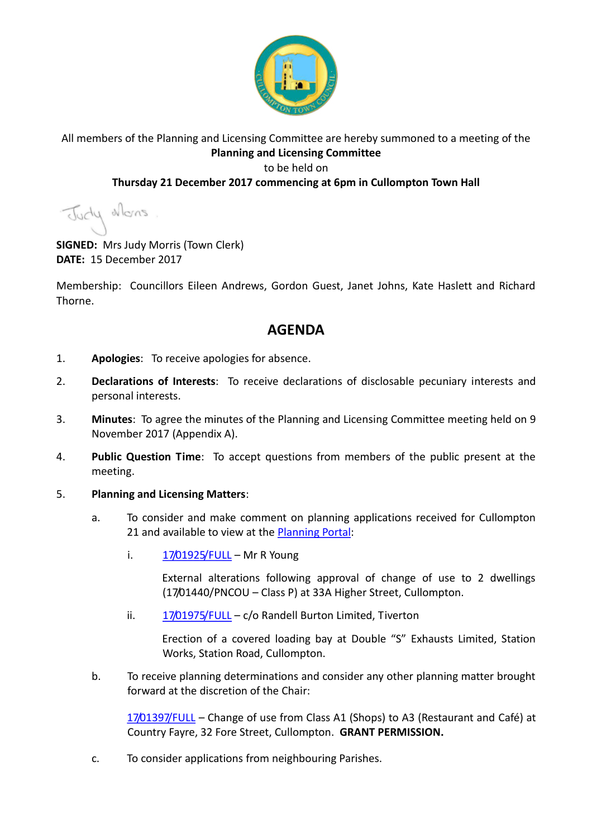

# All members of the Planning and Licensing Committee are hereby summoned to a meeting of the **Planning and Licensing Committee** to be held on

### **Thursday 21 December 2017 commencing at 6pm in Cullompton Town Hall**

Judy alons

**SIGNED:** Mrs Judy Morris (Town Clerk) **DATE:** 15 December 2017

Membership: Councillors Eileen Andrews, Gordon Guest, Janet Johns, Kate Haslett and Richard Thorne.

# **AGENDA**

- 1. **Apologies**: To receive apologies for absence.
- 2. **Declarations of Interests**: To receive declarations of disclosable pecuniary interests and personal interests.
- 3. **Minutes**: To agree the minutes of the Planning and Licensing Committee meeting held on 9 November 2017 (Appendix A).
- 4. **Public Question Time**: To accept questions from members of the public present at the meeting.

#### 5. **Planning and Licensing Matters**:

- a. To consider and make comment on planning applications received for Cullompton 21 and available to view at the [Planning Portal:](https://planning.middevon.gov.uk/online-applications/search.do?action=simple&searchType=BuildingControl)
	- i.  $17/01925/FULL$  Mr R Young

External alterations following approval of change of use to 2 dwellings (17/01440/PNCOU – Class P) at 33A Higher Street, Cullompton.

ii. [17/01975/FULL](https://planning.middevon.gov.uk/online-applications/applicationDetails.do?activeTab=documents&keyVal=P0UVEWKS02T00) – c/o Randell Burton Limited. Tiverton

Erection of a covered loading bay at Double "S" Exhausts Limited, Station Works, Station Road, Cullompton.

b. To receive planning determinations and consider any other planning matter brought forward at the discretion of the Chair:

[17/01397/FULL](https://planning.middevon.gov.uk/online-applications/simpleSearchResults.do?action=firstPage) – Change of use from Class A1 (Shops) to A3 (Restaurant and Café) at Country Fayre, 32 Fore Street, Cullompton. **GRANT PERMISSION.**

c. To consider applications from neighbouring Parishes.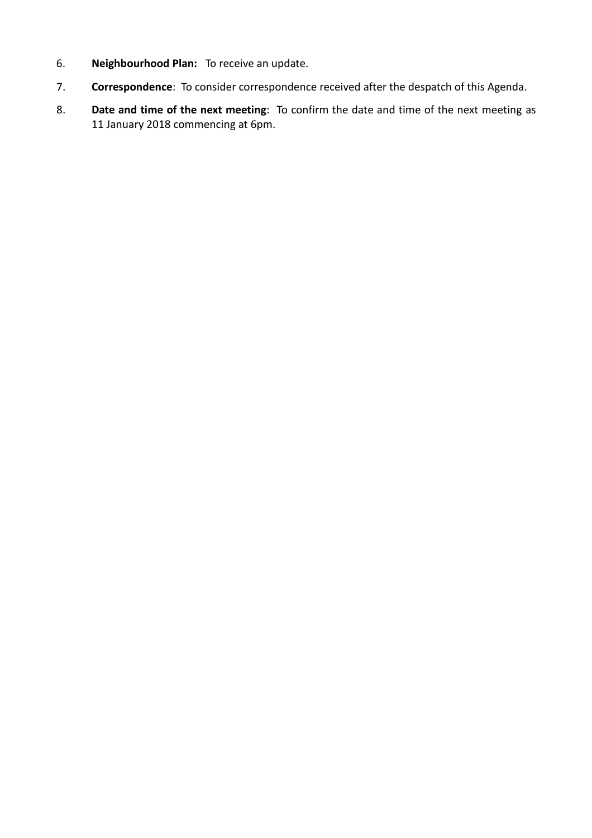- 6. **Neighbourhood Plan:** To receive an update.
- 7. **Correspondence**: To consider correspondence received after the despatch of this Agenda.
- 8. **Date and time of the next meeting**: To confirm the date and time of the next meeting as 11 January 2018 commencing at 6pm.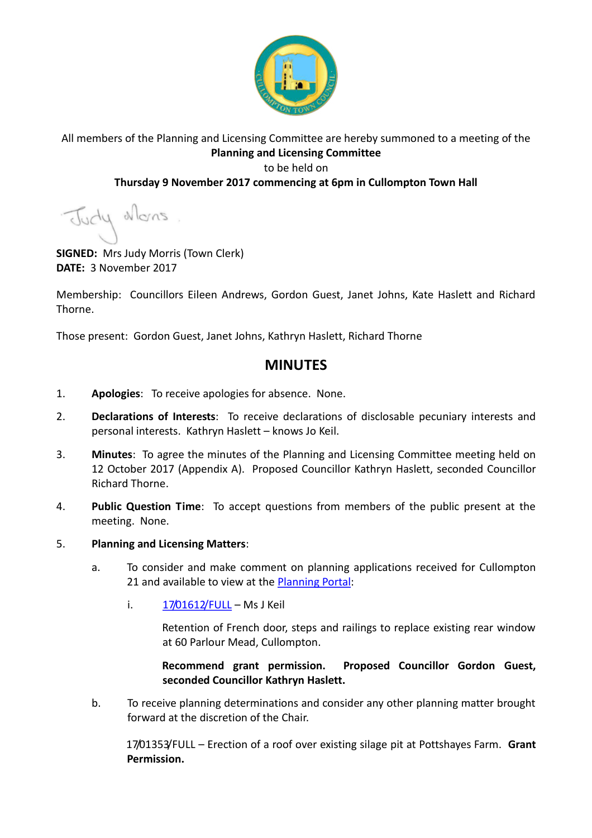

### All members of the Planning and Licensing Committee are hereby summoned to a meeting of the **Planning and Licensing Committee** to be held on

### **Thursday 9 November 2017 commencing at 6pm in Cullompton Town Hall**

Judy allons

**SIGNED:** Mrs Judy Morris (Town Clerk) **DATE:** 3 November 2017

Membership: Councillors Eileen Andrews, Gordon Guest, Janet Johns, Kate Haslett and Richard Thorne.

Those present: Gordon Guest, Janet Johns, Kathryn Haslett, Richard Thorne

# **MINUTES**

- 1. **Apologies**: To receive apologies for absence. None.
- 2. **Declarations of Interests**: To receive declarations of disclosable pecuniary interests and personal interests. Kathryn Haslett – knows Jo Keil.
- 3. **Minutes**: To agree the minutes of the Planning and Licensing Committee meeting held on 12 October 2017 (Appendix A). Proposed Councillor Kathryn Haslett, seconded Councillor Richard Thorne.
- 4. **Public Question Time**: To accept questions from members of the public present at the meeting. None.
- 5. **Planning and Licensing Matters**:
	- a. To consider and make comment on planning applications received for Cullompton 21 and available to view at the **Planning Portal:** 
		- i.  $17/01612/FULL MsJ Keil$  $17/01612/FULL MsJ Keil$

Retention of French door, steps and railings to replace existing rear window at 60 Parlour Mead, Cullompton.

**Recommend grant permission. Proposed Councillor Gordon Guest, seconded Councillor Kathryn Haslett.**

b. To receive planning determinations and consider any other planning matter brought forward at the discretion of the Chair.

17/01353/FULL – Erection of a roof over existing silage pit at Pottshayes Farm. **Grant Permission.**